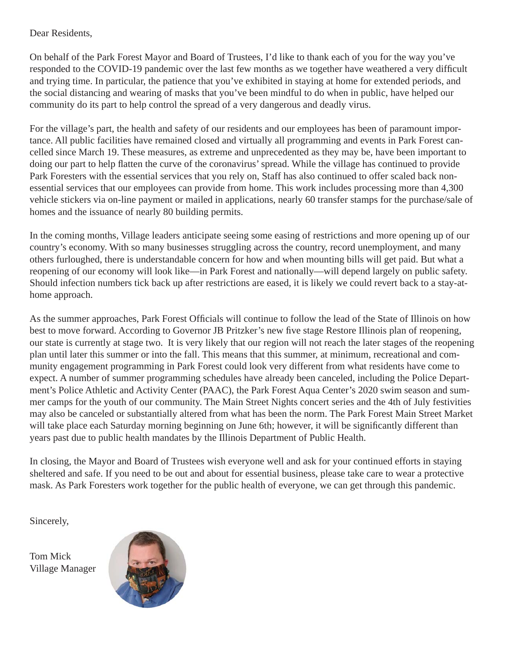## Dear Residents,

On behalf of the Park Forest Mayor and Board of Trustees, I'd like to thank each of you for the way you've responded to the COVID-19 pandemic over the last few months as we together have weathered a very difficult and trying time. In particular, the patience that you've exhibited in staying at home for extended periods, and the social distancing and wearing of masks that you've been mindful to do when in public, have helped our community do its part to help control the spread of a very dangerous and deadly virus.

For the village's part, the health and safety of our residents and our employees has been of paramount importance. All public facilities have remained closed and virtually all programming and events in Park Forest cancelled since March 19. These measures, as extreme and unprecedented as they may be, have been important to doing our part to help flatten the curve of the coronavirus' spread. While the village has continued to provide Park Foresters with the essential services that you rely on, Staff has also continued to offer scaled back nonessential services that our employees can provide from home. This work includes processing more than 4,300 vehicle stickers via on-line payment or mailed in applications, nearly 60 transfer stamps for the purchase/sale of homes and the issuance of nearly 80 building permits.

In the coming months, Village leaders anticipate seeing some easing of restrictions and more opening up of our country's economy. With so many businesses struggling across the country, record unemployment, and many others furloughed, there is understandable concern for how and when mounting bills will get paid. But what a reopening of our economy will look like—in Park Forest and nationally—will depend largely on public safety. Should infection numbers tick back up after restrictions are eased, it is likely we could revert back to a stay-athome approach.

As the summer approaches, Park Forest Officials will continue to follow the lead of the State of Illinois on how best to move forward. According to Governor JB Pritzker's new five stage Restore Illinois plan of reopening, our state is currently at stage two. It is very likely that our region will not reach the later stages of the reopening plan until later this summer or into the fall. This means that this summer, at minimum, recreational and community engagement programming in Park Forest could look very different from what residents have come to expect. A number of summer programming schedules have already been canceled, including the Police Department's Police Athletic and Activity Center (PAAC), the Park Forest Aqua Center's 2020 swim season and summer camps for the youth of our community. The Main Street Nights concert series and the 4th of July festivities may also be canceled or substantially altered from what has been the norm. The Park Forest Main Street Market will take place each Saturday morning beginning on June 6th; however, it will be significantly different than years past due to public health mandates by the Illinois Department of Public Health.

In closing, the Mayor and Board of Trustees wish everyone well and ask for your continued efforts in staying sheltered and safe. If you need to be out and about for essential business, please take care to wear a protective mask. As Park Foresters work together for the public health of everyone, we can get through this pandemic.

Sincerely,

Tom Mick Village Manager

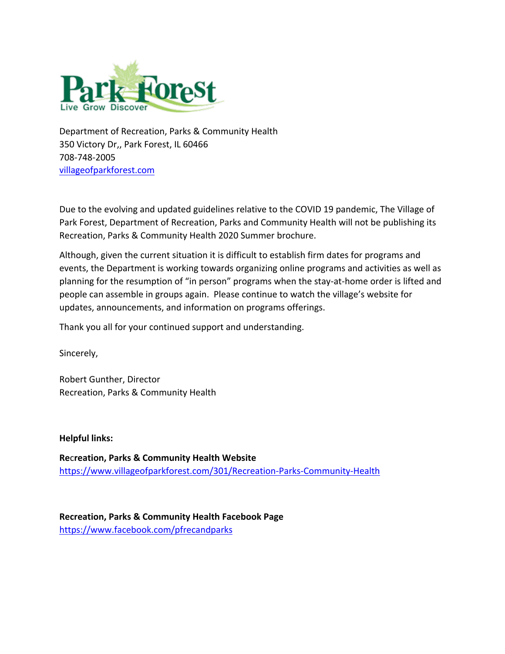

Department of Recreation, Parks & Community Health 350 Victory Dr,, Park Forest, IL 60466 708-748-2005 [villageofparkforest.com](http://www.villageofparkforest.com/)

Due to the evolving and updated guidelines relative to the COVID 19 pandemic, The Village of Park Forest, Department of Recreation, Parks and Community Health will not be publishing its Recreation, Parks & Community Health 2020 Summer brochure.

Although, given the current situation it is difficult to establish firm dates for programs and events, the Department is working towards organizing online programs and activities as well as planning for the resumption of "in person" programs when the stay-at-home order is lifted and people can assemble in groups again. Please continue to watch the village's website for updates, announcements, and information on programs offerings.

Thank you all for your continued support and understanding.

Sincerely,

Robert Gunther, Director Recreation, Parks & Community Health

**Helpful links:** 

**Re**c**reation, Parks & Community Health Website** <https://www.villageofparkforest.com/301/Recreation-Parks-Community-Health>

**Recreation, Parks & Community Health Facebook Page** <https://www.facebook.com/pfrecandparks>